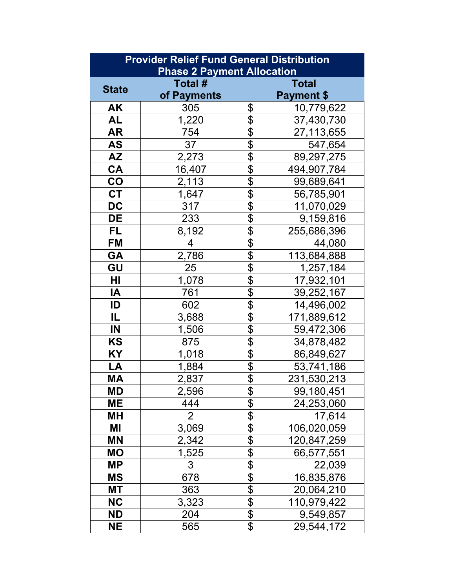| <b>Provider Relief Fund General Distribution</b><br><b>Phase 2 Payment Allocation</b> |             |                                                                                                   |                   |  |
|---------------------------------------------------------------------------------------|-------------|---------------------------------------------------------------------------------------------------|-------------------|--|
|                                                                                       | Total #     |                                                                                                   | Total             |  |
| <b>State</b>                                                                          | of Payments |                                                                                                   | <b>Payment \$</b> |  |
| <b>AK</b>                                                                             | 305         | \$                                                                                                | 10,779,622        |  |
| <b>AL</b>                                                                             | 1,220       | \$                                                                                                | 37,430,730        |  |
| <b>AR</b>                                                                             | 754         | $\frac{1}{\sqrt{2}}$                                                                              | 27,113,655        |  |
| <b>AS</b>                                                                             | 37          | $\frac{1}{2}$                                                                                     | 547,654           |  |
| <b>AZ</b>                                                                             | 2,273       | $\overline{\mathfrak{P}}$                                                                         | 89,297,275        |  |
| CA                                                                                    | 16,407      |                                                                                                   | 494,907,784       |  |
| CO                                                                                    | 2,113       |                                                                                                   | 99,689,641        |  |
| <b>CT</b>                                                                             | 1,647       |                                                                                                   | 56,785,901        |  |
| <b>DC</b>                                                                             | 317         | \$\$\$\$                                                                                          | 11,070,029        |  |
| <b>DE</b>                                                                             | 233         | $\overline{\boldsymbol{\mathsf{S}}}$                                                              | 9,159,816         |  |
| <b>FL</b>                                                                             | 8,192       | $\overline{\frac{1}{2}}$                                                                          | 255,686,396       |  |
| <b>FM</b>                                                                             | 4           | $\frac{6}{9}$                                                                                     | 44,080            |  |
| <b>GA</b>                                                                             | 2,786       |                                                                                                   | 113,684,888       |  |
| GU                                                                                    | 25          | $\overline{\frac{1}{2}}$                                                                          | 1,257,184         |  |
| HI                                                                                    | 1,078       | $\overline{\mathbf{B}}$                                                                           | 17,932,101        |  |
| IA                                                                                    | 761         | $\overline{\mathfrak{s}}$                                                                         | 39,252,167        |  |
| ID                                                                                    | 602         | $\overline{\mathbf{e}}$                                                                           | 14,496,002        |  |
| IL.                                                                                   | 3,688       | $\overline{\$}$                                                                                   | 171,889,612       |  |
| IN                                                                                    | 1,506       | \$                                                                                                | 59,472,306        |  |
| KS                                                                                    | 875         |                                                                                                   | 34,878,482        |  |
| KY                                                                                    | 1,018       | \$18                                                                                              | 86,849,627        |  |
| LA                                                                                    | 1,884       |                                                                                                   | 53,741,186        |  |
| <b>MA</b>                                                                             | 2,837       | $\overline{\boldsymbol{\mathsf{S}}}$                                                              | 231,530,213       |  |
| <b>MD</b>                                                                             | 2,596       | $\frac{1}{2}$                                                                                     | 99,180,451        |  |
| ME                                                                                    | 444         | $\overline{\theta}$                                                                               | 24,253,060        |  |
| <b>MH</b>                                                                             | 2           | \$                                                                                                | 17,614            |  |
| ΜI                                                                                    | 3,069       |                                                                                                   | 106,020,059       |  |
| <b>MN</b>                                                                             | 2,342       | $\frac{1}{2}$ $\frac{1}{2}$ $\frac{1}{2}$ $\frac{1}{2}$ $\frac{1}{2}$ $\frac{1}{2}$ $\frac{1}{2}$ | 120,847,259       |  |
| <b>MO</b>                                                                             | 1,525       |                                                                                                   | 66,577,551        |  |
| <b>MP</b>                                                                             | 3           |                                                                                                   | 22,039            |  |
| <b>MS</b>                                                                             | 678         |                                                                                                   | 16,835,876        |  |
| МT                                                                                    | 363         |                                                                                                   | 20,064,210        |  |
| <b>NC</b>                                                                             | 3,323       |                                                                                                   | 110,979,422       |  |
| <b>ND</b>                                                                             | 204         | $\frac{1}{2}$                                                                                     | 9,549,857         |  |
| <b>NE</b>                                                                             | 565         | \$                                                                                                | 29,544,172        |  |